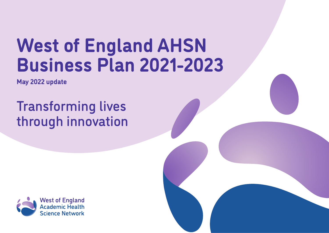# **West of England AHSN Business Plan 2021-2023**

**May 2022 update**

## Transforming lives through innovation

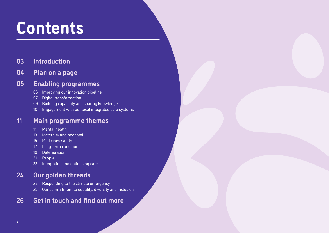## **Contents**

### **[Introduction](#page-2-0)**

### **[Plan on a page](#page-3-0)**

### **[Enabling programmes](#page-4-0)**

- [Improving our innovation pipeline](#page-4-0)
- [Digital transformation](#page-6-0)
- [Building capability and sharing knowledge](#page-8-0)
- [Engagement with our local integrated care systems](#page-9-0)

### **[Main programme themes](#page-10-0)**

- [Mental health](#page-10-0)
- [Maternity and neonatal](#page-12-0)
- [Medicines safety](#page-14-0)
- [Long-term conditions](#page-16-0)
- [Deterioration](#page-18-0)
- [People](#page-20-0)
- [Integrating and optimising care](#page-21-0)

### **[Our golden threads](#page-23-0)**

- [Responding to the climate emergency](#page-23-0)
- [Our commitment to equality, diversity and inclusion](#page-24-0)

### **[Get in touch and find out more](#page-25-0)**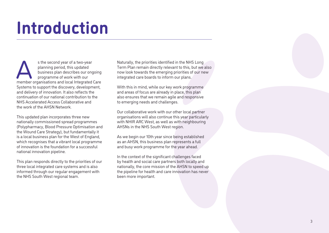## <span id="page-2-0"></span>**Introduction**

s the second year of a two-year<br>
planning period, this updated<br>
business plan describes our ongoing<br>
programme of work with our<br>
member organisations and local Integrated Care planning period, this updated business plan describes our ongoing programme of work with our Systems to support the discovery, development, and delivery of innovation. It also reflects the continuation of our national contribution to the NHS Accelerated Access Collaborative and the work of the AHSN Network.

This updated plan incorporates three new nationally commissioned spread programmes (Polypharmacy, Blood Pressure Optimisation and the Wound Care Strategy), but fundamentally it is a local business plan for the West of England, which recognises that a vibrant local programme of innovation is the foundation for a successful national innovation pipeline.

This plan responds directly to the priorities of our three local integrated care systems and is also informed through our regular engagement with the NHS South West regional team.

Naturally, the priorities identified in the NHS Long Term Plan remain directly relevant to this, but we also now look towards the emerging priorities of our new integrated care boards to inform our plans.

With this in mind, while our key work programme and areas of focus are already in place, this plan also ensures that we remain agile and responsive to emerging needs and challenges.

Our collaborative work with our other local partner organisations will also continue this year particularly with NHIR ARC West, as well as with neighbouring AHSNs in the NHS South West region.

As we begin our 10th year since being established as an AHSN, this business plan represents a full and busy work programme for the year ahead.

In the context of the significant challenges faced by health and social care partners both locally and nationally, the core mission of the AHSN to speed up the pipeline for health and care innovation has never been more important.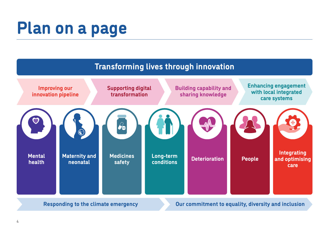## <span id="page-3-0"></span>**Plan on a page**

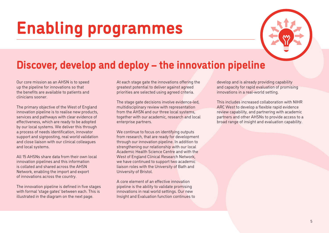

### <span id="page-4-0"></span>**Discover, develop and deploy – the innovation pipeline**

Our core mission as an AHSN is to speed up the pipeline for innovations so that the benefits are available to patients and clinicians sooner.

The primary objective of the West of England innovation pipeline is to realise new products, services and pathways with clear evidence of effectiveness, which are ready to be adopted by our local systems. We deliver this through a process of needs identification, innovator support and signposting, real world validation and close liaison with our clinical colleagues and local systems.

All 15 AHSNs share data from their own local innovation pipelines and this information is collated and shared across the AHSN Network, enabling the import and export of innovations across the country.

The innovation pipeline is defined in five stages with formal 'stage gates' between each. This is illustrated in the diagram on the next page.

At each stage gate the innovations offering the greatest potential to deliver against agreed priorities are selected using agreed criteria.

The stage gate decisions involve evidence-led, multidisciplinary review with representation from the AHSN and our three local systems, together with our academic, research and local enterprise partners.

We continue to focus on identifying outputs from research, that are ready for development through our innovation pipeline. In addition to strengthening our relationship with our local Academic Health Science Centre and with the West of England Clinical Research Network, we have continued to support two academic liaison roles with the University of Bath and University of Bristol.

A core element of an effective innovation pipeline is the ability to validate promising innovations in real world settings. Our new Insight and Evaluation function continues to

develop and is already providing capability and capacity for rapid evaluation of promising innovations in a real-world setting.

This includes increased collaboration with NIHR ARC West to develop a flexible rapid evidence review capability, and partnering with academic partners and other AHSNs to provide access to a broad range of insight and evaluation capability.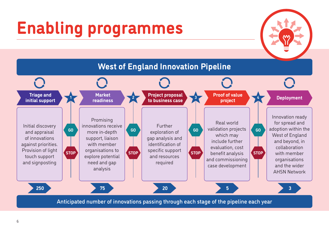

Anticipated number of innovations passing through each stage of the pipeline each year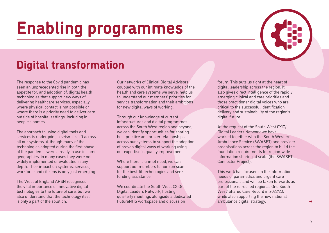## <span id="page-6-0"></span>**Digital transformation**

The response to the Covid pandemic has seen an unprecedented rise in both the appetite for, and adoption of, digital health technologies that support new ways of delivering healthcare services, especially where physical contact is not possible or where there is a priority need to deliver care outside of hospital settings, including in people's homes.

The approach to using digital tools and services is undergoing a seismic shift across all our systems. Although many of the technologies adopted during the first phase of the pandemic were already in use in some geographies, in many cases they were not widely implemented or evaluated in any depth. Their impact on systems, services, workforce and citizens is only just emerging.

The West of England AHSN recognises the vital importance of innovative digital technologies to the future of care, but we also understand that the technology itself is only a part of the solution.

Our networks of Clinical Digital Advisors, coupled with our intimate knowledge of the health and care systems we serve, help us to understand our members' priorities for service transformation and their ambitions for new digital ways of working.

Through our knowledge of current infrastructures and digital programmes across the South West region and beyond, we can identify opportunities for sharing best practice and broker relationships across our systems to support the adoption of proven digital ways of working using our expertise in quality improvement.

Where there is unmet need, we can support our members to horizon scan for the best-fit technologies and seek funding assistance.

We coordinate the South West CXIO/ Digital Leaders Network, hosting quarterly meetings alongside a dedicated FutureNHS workspace and discussion

forum. This puts us right at the heart of digital leadership across the region. It also gives direct intelligence of the rapidly emerging clinical and care priorities and those practitioner digital voices who are critical to the successful identification, delivery and sustainability of the region's digital future.

At the request of the South West CXIO/ Digital Leaders Network we have worked together with the South Western Ambulance Service (SWASFT) and provider organisations across the region to build the foundation requirements for region-wide information sharing at scale (the SWASFT Connector Project).

This work has focused on the information needs of paramedics and urgent care professionals and will be taken forwards as part of the refreshed regional 'One South West' Shared Care Record in 2022/23, while also supporting the new national ambulance digital strategy.

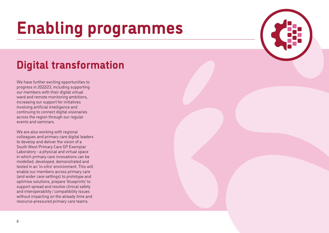## <span id="page-7-0"></span>**Digital transformation**

We have further exciting opportunities to progress in 2022/23, including supporting our members with their digital virtual ward and remote monitoring ambitions, increasing our support for initiatives involving artificial intelligence and continuing to connect digital visionaries across the region through our regular events and seminars.

We are also working with regional colleagues and primary care digital leaders to develop and deliver the vision of a South West Primary Care GP Exemplar Laboratory - a physical and virtual space in which primary care innovations can be modelled, developed, demonstrated and tested in an 'in-vitro' environment. This will enable our members across primary care (and wider care settings) to prototype and optimise solutions, prepare 'blueprints' to support spread and resolve clinical safety and interoperability / compatibility issues without impacting on the already time and resource-pressured primary care teams.

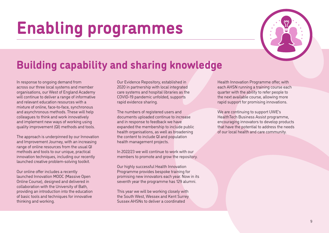

## <span id="page-8-0"></span>**Building capability and sharing knowledge**

In response to ongoing demand from across our three local systems and member organisations, our West of England Academy will continue to deliver a range of informative and relevant education resources with a mixture of online, face-to-face, synchronous and asynchronous methods. These will help colleagues to think and work innovatively and implement new ways of working using quality improvement (QI) methods and tools.

The approach is underpinned by our Innovation and Improvement Journey, with an increasing range of online resources from the usual QI methods and tools to our unique, practical innovation techniques, including our recently launched creative problem-solving toolkit.

Our online offer includes a recently launched Innovation MOOC (Massive Open Online Course), designed and delivered in collaboration with the University of Bath, providing an introduction into the education of basic tools and techniques for innovative thinking and working.

Our Evidence Repository, established in 2020 in partnership with local integrated care systems and hospital libraries as the COVID-19 pandemic unfolded, supports rapid evidence sharing.

The numbers of registered users and documents uploaded continue to increase and in response to feedback we have expanded the membership to include public health organisations, as well as broadening the content to include QI and population health management projects.

In 2022/23 we will continue to work with our members to promote and grow the repository.

Our highly successful Health Innovation Programme provides bespoke training for promising new innovators each year. Now in its seventh year the programme has 129 alumni.

This year we will be working closely with the South West, Wessex and Kent Surrey Sussex AHSNs to deliver a coordinated

Health Innovation Programme offer, with each AHSN running a training course each quarter with the ability to refer people to the next available course, allowing more rapid support for promising innovations.

We are continuing to support UWE's HealthTech Business Assist programme, encouraging innovators to develop products that have the potential to address the needs of our local health and care community.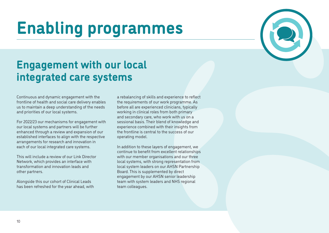### <span id="page-9-0"></span>**Engagement with our local integrated care systems**

Continuous and dynamic engagement with the frontline of health and social care delivery enables us to maintain a deep understanding of the needs and priorities of our local systems.

For 2022/23 our mechanisms for engagement with our local systems and partners will be further enhanced through a review and expansion of our established interfaces to align with the respective arrangements for research and innovation in each of our local integrated care systems.

This will include a review of our Link Director Network, which provides an interface with transformation and innovation leads and other partners.

Alongside this our cohort of Clinical Leads has been refreshed for the year ahead, with a rebalancing of skills and experience to reflect the requirements of our work programme. As before all are experienced clinicians, typically working in clinical roles from both primary and secondary care, who work with us on a sessional basis. Their blend of knowledge and experience combined with their insights from the frontline is central to the success of our operating model.

In addition to these layers of engagement, we continue to benefit from excellent relationships with our member organisations and our three local systems, with strong representation from local system leaders on our AHSN Partnership Board. This is supplemented by direct engagement by our AHSN senior leadership team with system leaders and NHS regional team colleagues.



10

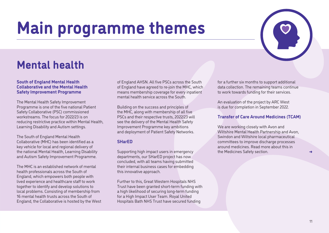

### <span id="page-10-0"></span>**Mental health**

#### **South of England Mental Health Collaborative and the Mental Health Safety Improvement Programme**

The Mental Health Safety Improvement Programme is one of the five national Patient Safety Collaborative (PSC) commissioned workstreams. The focus for 2022/23 is on reducing restrictive practice within Mental Health, Learning Disability and Autism settings.

The South of England Mental Health Collaborative (MHC) has been identified as a key vehicle for local and regional delivery of the national Mental Health, Learning Disability and Autism Safety Improvement Programme.

The MHC is an established network of mental health professionals across the South of England, which empowers both people with lived experience and healthcare staff to work together to identify and develop solutions to local problems. Consisting of membership from 16 mental health trusts across the South of England, the Collaborative is hosted by the West of England AHSN. All five PSCs across the South of England have agreed to re-join the MHC, which means membership coverage for every inpatient mental health service across the South.

Building on the success and principles of the MHC, along with membership of all five PSCs and their respective trusts, 2022/23 will see the delivery of the Mental Health Safety Improvement Programme key ambitions and deployment of Patient Safety Networks.

### **SHarED**

Supporting high impact users in emergency departments, our SHarED project has now concluded, with all teams having submitted their internal business cases for embedding this innovative approach.

Further to this, Great Western Hospitals NHS Trust have been granted short-term funding with a high likelihood of securing long-term funding for a High Impact User Team. Royal United Hospitals Bath NHS Trust have secured funding

for a further six months to support additional data collection. The remaining teams continue to work towards funding for their services.

An evaluation of the project by ARC West is due for completion in September 2022.

### **Transfer of Care Around Medicines (TCAM)**

We are working closely with Avon and Wiltshire Mental Health Partnership and Avon, Swindon and Wiltshire local pharmaceutical committees to improve discharge processes around medicines. Read more about this in the Medicines Safety section.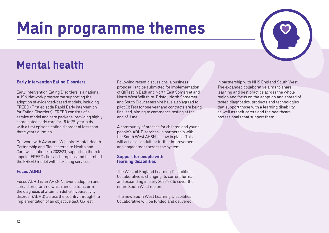

### <span id="page-11-0"></span>**Mental health**

### **Early Intervention Eating Disorders**

Early Intervention Eating Disorders is a national AHSN Network programme supporting the adoption of evidenced-based models, including FREED (First episode Rapid Early intervention for Eating Disorders). FREED consists of a service model and care package, providing highly coordinated early care for 16 to 25-year-olds with a first episode eating disorder of less than three years duration.

Our work with Avon and Wiltshire Mental Health Partnership and Gloucestershire Health and Care will continue in 2022/23, supporting them to appoint FREED clinical champions and to embed the FREED model within existing services.

#### **Focus ADHD**

Focus ADHD is an AHSN Network adoption and spread programme which aims to transform the diagnosis of attention deficit hyperactivity disorder (ADHD) across the country through the implementation of an objective test, QbTest.

Following recent discussions, a business proposal is to be submitted for implementation of QbTest in Bath and North East Somerset and North West Wiltshire. Bristol, North Somerset and South Gloucestershire have also agreed to pilot QbTest for one year and contracts are being finalised, aiming to commence testing at the end of June.

A community of practice for children and young people's ADHD services, in partnership with the South West AHSN, is now in place. This will act as a conduit for further improvement and engagement across the system.

#### **Support for people with learning disabilities**

The West of England Learning Disabilities Collaborative is changing its current format and expanding in early 2022/23 to cover the entire South West region.

The new South West Learning Disabilities Collaborative will be funded and delivered in partnership with NHS England South West. The expanded collaborative aims to share learning and best practice across the whole region and focus on the adoption and spread of tested diagnostics, products and technologies that support those with a learning disability, as well as their carers and the healthcare professionals that support them.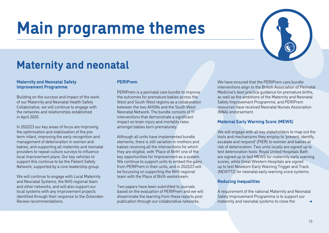

### <span id="page-12-0"></span>**Maternity and neonatal**

#### **Maternity and Neonatal Safety Improvement Programme**

Building on the success and impact of the work of our Maternity and Neonatal Health Safety Collaborative, we will continue to engage with the networks and relationships established in April 2020.

In 2022/23 our key areas of focus are improving the optimisation and stabilisation of the preterm infant, improving the early recognition and management of deterioration in women and babies, and supporting all maternity and neonatal providers to repeat culture surveys to influence local improvement plans. Our key vehicles to support this continue to be the Patient Safety Network, supported by a core leadership group.

We will continue to engage with Local Maternity and Neonatal Systems, the NHS regional team and other networks, and will also support our local systems with any improvement projects identified through their response to the Ockenden Review recommendations.

#### **PERIPrem**

PERIPrem is a perinatal care bundle to improve the outcomes for premature babies across the West and South West regions as a collaboration between the two AHSNs and the South West Neonatal Network. The bundle consists of 11 interventions that demonstrate a significant impact on brain injury and mortality rates amongst babies born prematurely.

Although all units have implemented bundle elements, there is still variation in mothers and babies receiving all the interventions for which they are eligible, with 'Place of Birth' one of the key opportunities for improvement as a system. We continue to support units to embed the gains from PERIPrem in their units, and in 2022/23 will be focussing on supporting the NHS regional team with the Place of Birth workstream.

Two papers have been submitted to journals based on the evaluation of PERIPrem and we will disseminate the learning from these reports post publication through our collaborative networks.

We have ensured that the PERIPrem care bundle interventions align to the British Association of Perinatal Medicine's best practice guidance for premature births, as well as the ambitions of the Maternity and Neonatal Safety Improvement Programme, and PERIPrem resources have received Neonatal Nurses Association (NNA) endorsement.

#### **Maternal Early Warning Score (MEWS)**

We will engage with all key stakeholders to map out the tools and mechanisms they employ to 'prevent, identify, escalate and respond' (PIER) to women and babies at risk of deterioration. Two units locally are signed up to test deterioration tools: Royal United Hospitals Bath are signed up to test MEWS for maternity early warning scores, while Great Western Hospitals are signed up to test Newborn Early Warning Trigger and Track (NEWTT2) for neonatal early warning score systems.

#### **Reducing inequalities**

[➜](#page-13-0) A requirement of the national Maternity and Neonatal Safety Improvement Programme is to support our maternity and neonatal systems to close the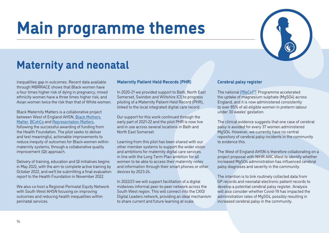

### <span id="page-13-0"></span>**Maternity and neonatal**

inequalities gap in outcomes. Recent data available through MBRRACE shows that Black women have a four times higher risk of dying in pregnancy, mixed ethnicity women have a three times higher risk, and Asian women twice the risk than that of White women.

Black Maternity Matters is a collaborative project between West of England AHSN, [Black Mothers](https://www.blackmothersmatter.org/)  [Matter,](https://www.blackmothersmatter.org/) [BCohCo](https://www.bcohco.com/diceprogram) and [Representation Matters,](https://www.repmatters.co.uk/) following the successful awarding of funding from the Health Foundation. The pilot seeks to deliver and test meaningful, actionable improvements to reduce inequity of outcomes for Black women within maternity systems, through a collaborative quality improvement (QI) approach.

Delivery of training, education and QI initiatives begins in May 2022, with the aim to complete active training by October 2022, and we'll be submitting a final evaluation report to the Health Foundation in November 2022.

We also co-host a Regional Perinatal Equity Network with South West AHSN focusing on improving outcomes and reducing health inequalities within perinatal services.

#### **Maternity Patient Held Records (PHR)**

In 2020-21 we provided support to Bath, North East Somerset, Swindon and Wiltshire ICS to progress piloting of a Maternity Patient Held Record (PHR), linked to the local integrated digital care record.

Our support for this work continued through the early part of 2021-22 and the pilot PHR is now live and in use across several locations in Bath and North East Somerset.

Learning from this pilot has been shared with our other member systems to support the wider vision and ambitions for maternity digital care services in line with the Long Term Plan ambition for all women to be able to access their maternity notes and information through their smart phones or other devices by 2023-24.

In 2022/23 we will support facilitation of a digital midwives informal peer-to-peer network across the South West region. This will connect into the CXIO/ Digital Leaders network, providing an ideal mechanism to share current and future learning at scale.

#### **Cerebral palsy register**

The national [PReCePT](https://www.weahsn.net/our-work/transforming-services-and-systems/precept/) Programme accelerated the uptake of magnesium sulphate (MgSO4) across England, and it is now administered consistently to over 85% of all eligible women in preterm labour under 30 weeks' gestation.

The clinical evidence suggests that one case of cerebral palsy is avoided for every 37 women administered MgSO4. However, we currently have no central repository of cerebral palsy incidents in the community to evidence this.

The West of England AHSN is therefore collaborating on a project proposal with NIHR ARC West to identify whether increased MgSO4 administration has influenced cerebral palsy diagnoses and severity in the community.

The intention is to link routinely collected data from GP records and neonatal electronic patient records to develop a potential cerebral palsy register. Analysis will also consider whether Covid-19 has impacted the administration rates of MgSO4, possibly resulting in increased cerebral palsy in the community.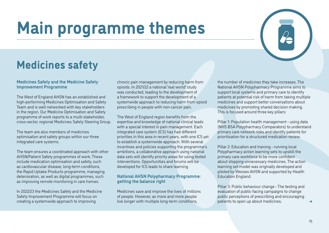## <span id="page-14-0"></span>**Medicines safety**

#### **Medicines Safety and the Medicine Safety Improvement Programme**

The West of England AHSN has an established and high-performing Medicines Optimisation and Safety Team and is well networked with key stakeholders in the region. Our Medicine Optimisation and Safety programme of work reports to a multi-stakeholder, cross-sector, regional Medicines Safety Steering Group.

The team are also members of medicines optimisation and safety groups within our three integrated care systems.

The team ensures a coordinated approach with other AHSN/Patient Safety programmes of work. These include medication optimisation and safety, such as cardiovascular disease, long-term conditions, the Rapid Uptake Products programme, managing deterioration, as well as digital programmes, such as improving remote monitoring in care homes.

In 2022/23 the Medicines Safety and the Medicine Safety Improvement Programme will focus on creating a systemwide approach to improving

chronic pain management by reducing harm from opioids. In 2021/22 a national 'real world' study was conducted, leading to the development of a framework to support the development of a systemwide approach to reducing harm from opioid prescribing in people with non-cancer pain.

The West of England region benefits from the expertise and knowledge of national clinical leads with a special interest in pain management. Each integrated care system (ICS) has had different priorities in this area in recent years, with one ICS yet to establish a systemwide approach. With several incentives and policies supporting the programme's ambitions, a collaborative approach using national data sets will identify priority areas for using tested interventions. Opportunities and forums will be developed for ICS leads to share learning.

#### **National AHSN Polypharmacy Programme: getting the balance right**

Medicines save and improve the lives of millions of people. However, as more and more people live longer with multiple long-term conditions,

the number of medicines they take increases. The National AHSN Polypharmacy Programme aims to support local systems and primary care to identify patients at potential risk of harm from taking multiple medicines and support better conversations about medicines by promoting shared decision making. This is focused around three key pillars:

Pillar 1: Population health management - using data (NHS BSA Polypharmacy Comparators) to understand primary care network risks and identify patients for prioritisation for a structured medication review.

Pillar 2: Education and training - running local Polypharmacy action learning sets to upskill the primary care workforce to be more confident about stopping unnecessary medicines. The action learning set model was originally developed and piloted by Wessex AHSN and supported by Health Education England.

Pillar 3: Public behaviour change - The testing and evaluation of public-facing campaigns to change public perceptions of prescribing and encouraging patients to open up about medicines.

[➜](#page-15-0)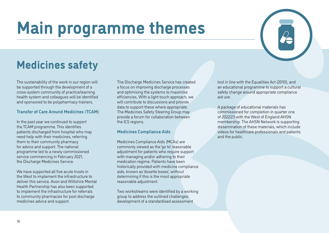

## <span id="page-15-0"></span>**Medicines safety**

The sustainability of the work in our region will be supported through the development of a cross-system community of practice/learning health system and colleagues will be identified and sponsored to be polypharmacy trainers.

#### **Transfer of Care Around Medicines (TCAM)**

In the past year we continued to support the TCAM programme. This identifies patients discharged from hospital who may need help with their medicines, referring them to their community pharmacy for advice and support. The national programme led to a newly commissioned service commencing in February 2021, the Discharge Medicines Service.

We have supported all five acute trusts in the West to implement the infrastructure to deliver this service. Avon and Wiltshire Mental Health Partnership has also been supported to implement the infrastructure for referrals to community pharmacies for post discharge medicines advice and support.

The Discharge Medicines Service has created a focus on improving discharge processes and optimising the systems to maximise efficiencies. With a light touch approach, we will contribute to discussions and provide data to support these where appropriate. The Medicines Safety Steering Group may provide a forum for collaboration between the ICS regions.

#### **Medicines Compliance Aids**

Medicines Compliance Aids (MCAs) are commonly viewed as the 'go to' reasonable adjustment for patients who require support with managing and/or adhering to their medication regime. Patients have been historically provided with medicine compliance aids, known as 'dosette boxes', without determining if this is the most appropriate reasonable adjustment.

Two workstreams were identified by a working group to address the outlined challenges: development of a standardised assessment

tool in line with the Equalities Act (2010), and an educational programme to support a cultural safety change around appropriate compliance aid use.

A package of educational materials has commissioned for completion in quarter one of 2022/23 with the West of England AHSN membership. The AHSN Network is supporting dissemination of these materials, which include videos for healthcare professionals and patients and the public.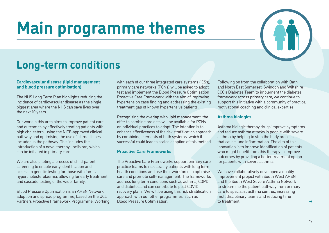

### <span id="page-16-0"></span>**Long-term conditions**

#### **Cardiovascular disease (lipid management and blood pressure optimisation)**

The NHS Long Term Plan highlights reducing the incidence of cardiovascular disease as the single biggest area where the NHS can save lives over the next 10 years.

Our work in this area aims to improve patient care and outcomes by effectively treating patients with high cholesterol using the NICE-approved clinical pathway and optimising the use of all medicines included in the pathway. This includes the introduction of a novel therapy, Inclisiran, which can be initiated in primary care.

We are also piloting a process of child-parent screening to enable early identification and access to genetic testing for those with familial hypercholesterolaemia, allowing for early treatment and cascade testing of the wider family.

Blood Pressure Optimisation is an AHSN Network adoption and spread programme, based on the UCL Partners Proactive Framework Programme. Working with each of our three integrated care systems (ICSs), primary care networks (PCNs) will be asked to adopt, test and implement the Blood Pressure Optimisation Proactive Care Framework with the aim of improving hypertension case finding and addressing the existing treatment gap of known hypertensive patients.

Recognising the overlap with lipid management, the offer to combine projects will be available for PCNs or individual practices to adopt. The intention is to enhance effectiveness of the risk stratification approach by combining elements of both systems, which if successful could lead to scaled adoption of this method.

#### **Proactive Care Frameworks**

The Proactive Care Frameworks support primary care practice teams to risk stratify patients with long term health conditions and use their workforce to optimise care and promote self-management. The frameworks address long term conditions such as asthma, COPD and diabetes and can contribute to post-COVID recovery plans. We will be using this risk stratification approach with our other programmes, such as Blood Pressure Optimisation.

Following on from the collaboration with Bath and North East Somerset, Swindon and Wiltshire CCG's Diabetes Team to implement the diabetes framework across primary care, we continue to support this initiative with a community of practice, motivational coaching and clinical expertise.

#### **Asthma biologics**

Asthma biologic therapy drugs improve symptoms and reduce asthma attacks in people with severe asthma by helping to stop the body processes that cause lung inflammation. The aim of this innovation is to improve identification of patients who might benefit from this therapy to improve outcomes by providing a better treatment option for patients with severe asthma.

We have collaboratively developed a quality improvement project with South West AHSN and the South West Severe Asthma Network to streamline the patient pathway from primary care to specialist asthma centres, increasing multidisciplinary teams and reducing time to treatment.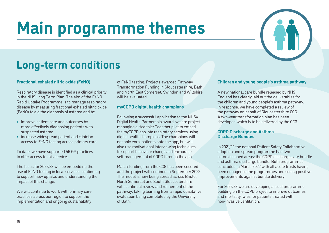

### <span id="page-17-0"></span>**Long-term conditions**

#### **Fractional exhaled nitric oxide (FeNO)**

Respiratory disease is identified as a clinical priority in the NHS Long Term Plan. The aim of the FeNO Rapid Uptake Programme is to manage respiratory disease by measuring fractional exhaled nitric oxide (FeNO) to aid the diagnosis of asthma and to:

- **•** improve patient care and outcomes by more effectively diagnosing patients with suspected asthma
- **•** increase widespread patient and clinician access to FeNO testing across primary care.

To date, we have supported 56 GP practices to offer access to this service.

The focus for 2022/23 will be embedding the use of FeNO testing in local services, continuing to support new uptake, and understanding the impact of this change.

We will continue to work with primary care practices across our region to support the implementation and ongoing sustainability

of FeNO testing. Projects awarded Pathway Transformation Funding in Gloucestershire, Bath and North East Somerset, Swindon and Wiltshire will be evaluated.

#### **myCOPD digital health champions**

Following a successful application to the NHSX Digital Health Partnership award, we are project managing a Healthier Together pilot to embed the myCOPD app into respiratory services using digital health champions. The champions will not only enrol patients onto the app, but will also use motivational interviewing techniques to support behaviour change and encourage self-management of COPD through the app.

Match-funding from the CCG has been secured and the project will continue to September 2022. The model is now being spread across Bristol, North Somerset and South Gloucestershire with continual review and refinement of the pathway, taking learning from a rapid qualitative evaluation being completed by the University of Bath.

#### **Children and young people's asthma pathway**

A new national care bundle released by NHS England has clearly laid out the deliverables for the children and young people's asthma pathway. In response, we have completed a review of the pathway on behalf of Gloucestershire CCG. A two-year transformation plan has been developed which is to be delivered by the CCG.

#### **COPD Discharge and Asthma Discharge Bundles**

In 2021/22 the national Patient Safety Collaborative adoption and spread programme had two commissioned areas: the COPD discharge care bundle and asthma discharge bundle. Both programmes concluded in March 2022 with all acute trusts having been engaged in the programmes and seeing positive improvements against bundle delivery.

For 2022/23 we are developing a local programme building on the COPD project to improve outcomes and mortality rates for patients treated with non-invasive ventilation.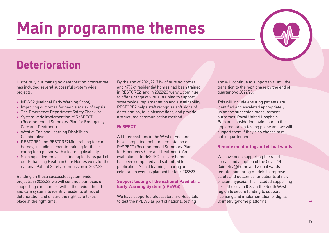

### <span id="page-18-0"></span>**Deterioration**

Historically our managing deterioration programme has included several successful system wide projects:

- **•** NEWS2 (National Early Warning Score)
- **•** Improving outcomes for people at risk of sepsis
- **•** The Emergency Department Safety Checklist
- **•** System-wide implementing of ReSPECT (Recommended Summary Plan for Emergency Care and Treatment)
- **•** West of England Learning Disabilities Collaborative
- **•** RESTORE2 and RESTORE2Mini training for care homes, including separate training for those caring for a person with a learning disability
- **•** Scoping of dementia case finding tools, as part of our Enhancing Health in Care Homes work for the national Patient Safety commission in 2021/22.

Building on these successful system-wide projects, in 2022/23 we will continue our focus on supporting care homes, within their wider health and care system, to identify residents at risk of deterioration and ensure the right care takes place at the right time.

By the end of 2021/22, 71% of nursing homes and 47% of residential homes had been trained in RESTORE2, and in 2022/23 we will continue to offer a range of virtual training to support systemwide implementation and sustainability. RESTORE2 helps staff recognise soft signs of deterioration, take observations, and provide a structured communication method.

### **ReSPECT**

All three systems in the West of England have completed their implementation of ReSPECT (Recommended Summary Plan for Emergency Care and Treatment). An evaluation into ReSPECT in care homes has been completed and submitted for publication. A final learning, sharing and celebration event is planned for late 2022/23.

### **Support testing of the national Paediatric Early Warning System (nPEWS)**

We have supported Gloucestershire Hospitals to test the nPEWS as part of national testing

and will continue to support this until the transition to the next phase by the end of quarter two 2022/23.

This will include ensuring patients are identified and escalated appropriately using the suggested measurement outcomes. Royal United Hospitals Bath are considering taking part in the implementation testing phase and we will support them if they also choose to roll out in quarter one.

### **Remote monitoring and virtual wards**

We have been supporting the rapid spread and adoption of the Covid-19 Oximetry@home and virtual wards remote monitoring models to improve safety and outcomes for patients at risk of silent hypoxia. This included supporting six of the seven ICSs in the South West region to secure funding to support licensing and implementation of digital Oximetry@home platforms.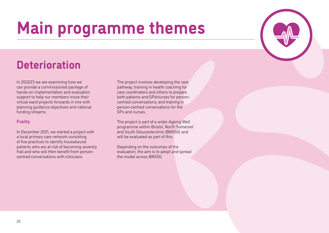### <span id="page-19-0"></span>**Deterioration**

In 2022/23 we are examining how we can provide a commissioned package of hands-on implementation and evaluation support to help our members move their virtual ward projects forwards in line with planning guidance objectives and national funding streams.

### **Frailty**

In December 2021, we started a project with a local primary care network consisting of five practices to identify housebound patients who are at risk of becoming severely frail and who will then benefit from personcentred conversations with clinicians.

The project involves developing the care pathway; training in health coaching for care coordinators and others to prepare both patients and GPs/nurses for personcentred conversations; and training in person-centred conversations for the GPs and nurses.

The project is part of a wider Ageing Well programme within Bristol, North Somerset and South Gloucestershire (BNSSG) and will be evaluated as part of this.

Depending on the outcomes of the evaluation, the aim is to adopt and spread the model across BNSSG.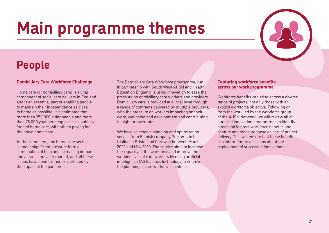

### <span id="page-20-0"></span>**People**

### **Domiciliary Care Workforce Challenge**

Home care (or domiciliary care) is a vital component of social care delivery in England and is an essential part of enabling people to maintain their independence as close to home as possible. It is estimated that more than 350,000 older people and more than 76,000 younger people access publicly funded home care, with others paying for their own home care.

At the same time, the home care sector is under significant pressure from a combination of high and increasing demand and a fragile provider market, and all these issues have been further exacerbated by the impact of the pandemic.

The Domiciliary Care Workforce programme, run in partnership with South West AHSN and Health Education England, is using innovation to ease the pressure on domiciliary care workers and providers. Domiciliary care is provided at a local level through a range of contracts delivered by multiple providers, with the pressure on workers impacting on their work, wellbeing and development and contributing to high turnover rates.

We have selected a planning and optimisation service from Finnish company Procomp to be trialled in Bristol and Cornwall between March 2022 and May 2023. The service aims to increase the capacity of the workforce and improve the working lives of care workers by using artificial intelligence (AI) logistics technology to improve the planning of care workers' schedules.

#### **Capturing workforce benefits across our work programme**

Workforce benefits can arise across a diverse range of projects, not only those with an explicit workforce objective. Following on from the work led by the workforce group of the AHSN Network, we will review all of our local innovation programmes to identify direct and indirect workforce benefits and capture and measure these as part of project delivery. This will ensure that these benefits can inform future decisions about the deployment of successful innovations.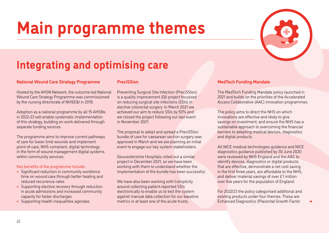<span id="page-21-0"></span>

#### **National Wound Care Strategy Programme**

Hosted by the AHSN Network, the outcome-led National Wound Care Strategy Programme was commissioned by the nursing directorate of NHSE&I in 2018.

Adoption as a national programme by all 15 AHSNs in 2022-23 will enable systematic implementation of this strategy, building on work delivered through separate funding sources.

The programme aims to improve current pathways of care for lower limb wounds and implement point-of-care, NHS compliant, digital technology in the form of wound management digital systems within community services.

Key benefits of the programme include:

- **•** Significant reduction in community workforce time on wound care through better healing and reduced recurrence rates
- **•** Supporting elective recovery through reduction in acute admissions and increased community capacity for faster discharges
- **•** Supporting health inequalities agendas.

#### **PreciSSIon**

Preventing Surgical Site Infection (PreciSSIon) is a quality improvement (QI) project focussed on reducing surgical site infections (SSIs) in elective colorectal surgery. In March 2021 we achieved our aim to reduce SSIs by 50% and we closed the project following our last event in November 2021.

The proposal to adopt and spread a PreciSSIon bundle of care for caesarean section surgery was approved in March and we are planning an initial event to engage our key system stakeholders.

Gloucestershire Hospitals rolled out a similar project in December 2021, so we have been working with them to understand whether the implementation of the bundle has been successful.

We have also been working with Cemplicity around collecting patient-reported SSIs electronically to enable us to test the system against manual data collection for our baseline metrics in at least one of the acute trusts.

#### **MedTech Funding Mandate**

The MedTech Funding Mandate policy launched in 2021 and builds on the priorities of the Accelerated Access Collaborative (AAC) innovation programmes.

The policy aims to direct the NHS on which innovations are effective and likely to give savings on investment, and ensure the NHS has a sustainable approach to overcoming the financial barriers to adopting medical devices, diagnostics and digital products.

All NICE medical technologies guidance and NICE diagnostics guidance published by 30 June 2020 were reviewed by NHS England and the AAC to identify devices, diagnostics or digital products that are effective, demonstrate a net cost saving in the first three years, are affordable to the NHS, and deliver material savings of over £1 million over five years for the population of England.

For 2022/23 the policy categorised additional and existing products under four themes. These are Enhanced Diagnostics (Placental Growth Factor

[➜](#page-22-0)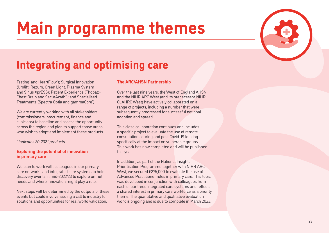

### <span id="page-22-0"></span>**Integrating and optimising care**

Testing\* and HeartFlow\* ); Surgical Innovation (Urolift, Rezum, Green Light, Plasma System and Sinus XprESS); Patient Experience (Thopaz+ Chest Drain and SecurAcath\* ); and Specialised Treatments (Spectra Optia and gammaCore\* ).

We are currently working with all stakeholders (commissioners, procurement, finance and clinicians) to baseline and assess the opportunity across the region and plan to support those areas who wish to adopt and implement these products.

*\* indicates 20-2021 products*

#### **Exploring the potential of innovation in primary care**

We plan to work with colleagues in our primary care networks and integrated care systems to hold discovery events in mid-2022/23 to explore unmet needs and where innovation might play a role.

Next steps will be determined by the outputs of these events but could involve issuing a call to industry for solutions and opportunities for real world validation.

### **The ARC/AHSN Partnership**

Over the last nine years, the West of England AHSN and the NIHR ARC West (and its predecessor NIHR CLAHRC West) have actively collaborated on a range of projects, including a number that were subsequently progressed for successful national adoption and spread.

This close collaboration continues and includes a specific project to evaluate the use of remote consultations during and post Covid-19 looking specifically at the impact on vulnerable groups. This work has now completed and will be published this year.

In addition, as part of the National Insights Prioritisation Programme together with NIHR ARC West, we secured £275,000 to evaluate the use of Advanced Practitioner roles in primary care. This topic was developed in conjunction with colleagues from each of our three integrated care systems and reflects a shared interest in primary care workforce as a priority theme. The quantitative and qualitative evaluation work is ongoing and is due to complete in March 2023.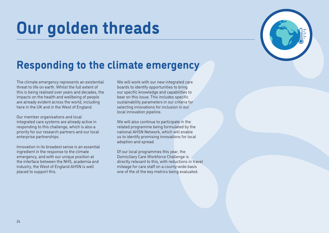## <span id="page-23-0"></span>**Our golden threads**



### **Responding to the climate emergency**

The climate emergency represents an existential threat to life on earth. Whilst the full extent of this is being realised over years and decades, the impacts on the health and wellbeing of people are already evident across the world, including here in the UK and in the West of England.

Our member organisations and local integrated care systems are already active in responding to this challenge, which is also a priority for our research partners and our local enterprise partnerships.

Innovation in its broadest sense is an essential ingredient in the response to the climate emergency, and with our unique position at the interface between the NHS, academia and industry, the West of England AHSN is well placed to support this.

We will work with our new integrated care boards to identify opportunities to bring our specific knowledge and capabilities to bear on this issue. This includes specific sustainability parameters in our criteria for selecting innovations for inclusion in our local innovation pipeline.

We will also continue to participate in the related programme being formulated by the national AHSN Network, which will enable us to identify promising innovations for local adoption and spread.

Of our local programmes this year, the Domiciliary Care Workforce Challenge is directly relevant to this, with reductions in travel mileage for care staff on a county-wide basis one of the of the key metrics being evaluated.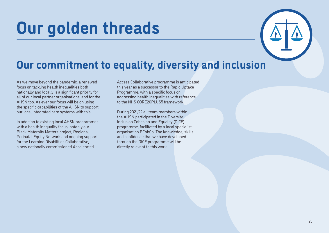## <span id="page-24-0"></span>**Our golden threads**



### **Our commitment to equality, diversity and inclusion**

As we move beyond the pandemic, a renewed focus on tackling health inequalities both nationally and locally is a significant priority for all of our local partner organisations, and for the AHSN too. As ever our focus will be on using the specific capabilities of the AHSN to support our local integrated care systems with this.

In addition to existing local AHSN programmes with a health inequality focus, notably our Black Maternity Matters project, Regional Perinatal Equity Network and ongoing support for the Learning Disabilities Collaborative, a new nationally commissioned Accelerated

Access Collaborative programme is anticipated this year as a successor to the Rapid Uptake Programme, with a specific focus on addressing health inequalities with reference to the NHS CORE20PLUS5 framework

During 2021/22 all team members within the AHSN participated in the Diversity Inclusion Cohesion and Equality (DICE) programme, facilitated by a local specialist organisation BCohCo. The knowledge, skills and confidence that we have developed through the DICE programme will be directly relevant to this work.